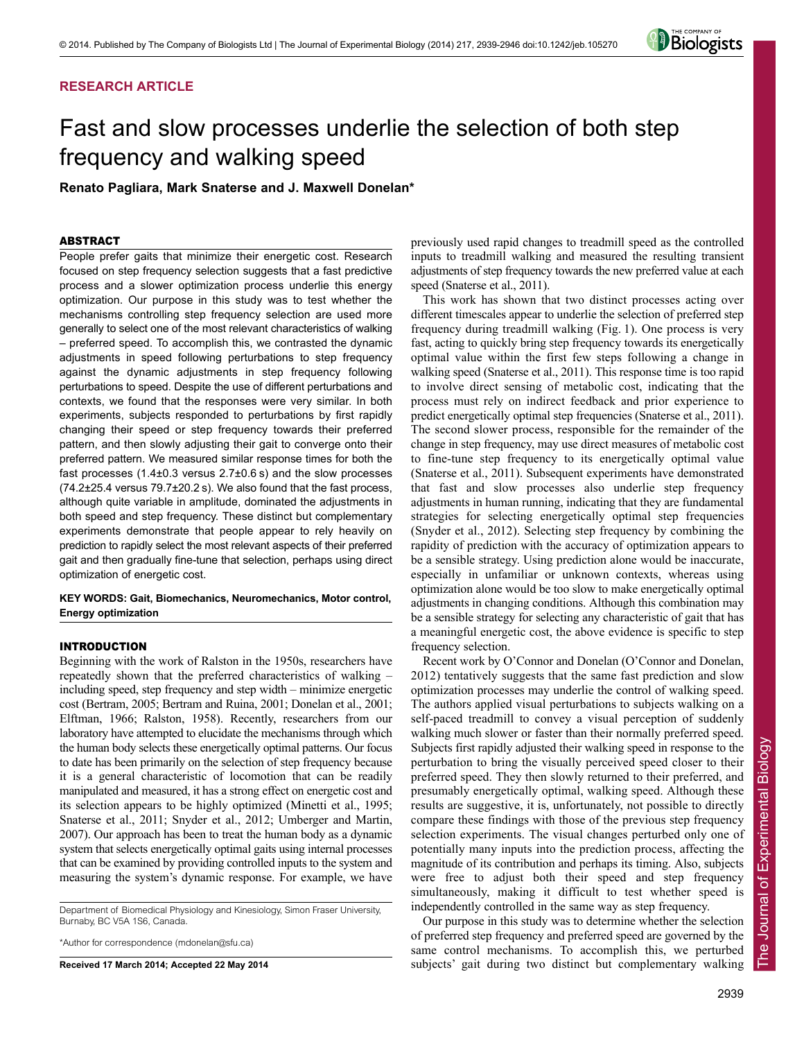## **RESEARCH ARTICLE**



# Fast and slow processes underlie the selection of both step frequency and walking speed

**Renato Pagliara, Mark Snaterse and J. Maxwell Donelan\***

## ABSTRACT

People prefer gaits that minimize their energetic cost. Research focused on step frequency selection suggests that a fast predictive process and a slower optimization process underlie this energy optimization. Our purpose in this study was to test whether the mechanisms controlling step frequency selection are used more generally to select one of the most relevant characteristics of walking – preferred speed. To accomplish this, we contrasted the dynamic adjustments in speed following perturbations to step frequency against the dynamic adjustments in step frequency following perturbations to speed. Despite the use of different perturbations and contexts, we found that the responses were very similar. In both experiments, subjects responded to perturbations by first rapidly changing their speed or step frequency towards their preferred pattern, and then slowly adjusting their gait to converge onto their preferred pattern. We measured similar response times for both the fast processes (1.4±0.3 versus 2.7±0.6 s) and the slow processes (74.2±25.4 versus 79.7±20.2 s). We also found that the fast process, although quite variable in amplitude, dominated the adjustments in both speed and step frequency. These distinct but complementary experiments demonstrate that people appear to rely heavily on prediction to rapidly select the most relevant aspects of their preferred gait and then gradually fine-tune that selection, perhaps using direct optimization of energetic cost.

**KEY WORDS: Gait, Biomechanics, Neuromechanics, Motor control, Energy optimization**

## INTRODUCTION

Beginning with the work of Ralston in the 1950s, researchers have repeatedly shown that the preferred characteristics of walking – including speed, step frequency and step width – minimize energetic cost (Bertram, 2005; Bertram and Ruina, 2001; Donelan et al., 2001; Elftman, 1966; Ralston, 1958). Recently, researchers from our laboratory have attempted to elucidate the mechanisms through which the human body selects these energetically optimal patterns. Our focus to date has been primarily on the selection of step frequency because it is a general characteristic of locomotion that can be readily manipulated and measured, it has a strong effect on energetic cost and its selection appears to be highly optimized (Minetti et al., 1995; Snaterse et al., 2011; Snyder et al., 2012; Umberger and Martin, 2007). Our approach has been to treat the human body as a dynamic system that selects energetically optimal gaits using internal processes that can be examined by providing controlled inputs to the system and measuring the system's dynamic response. For example, we have

Department of Biomedical Physiology and Kinesiology, Simon Fraser University, Burnaby, BC V5A 1S6, Canada.

\*Author for correspondence (mdonelan@sfu.ca)

**Received 17 March 2014; Accepted 22 May 2014**

previously used rapid changes to treadmill speed as the controlled inputs to treadmill walking and measured the resulting transient adjustments of step frequency towards the new preferred value at each speed (Snaterse et al., 2011).

This work has shown that two distinct processes acting over different timescales appear to underlie the selection of preferred step frequency during treadmill walking (Fig. 1). One process is very fast, acting to quickly bring step frequency towards its energetically optimal value within the first few steps following a change in walking speed (Snaterse et al., 2011). This response time is too rapid to involve direct sensing of metabolic cost, indicating that the process must rely on indirect feedback and prior experience to predict energetically optimal step frequencies (Snaterse et al., 2011). The second slower process, responsible for the remainder of the change in step frequency, may use direct measures of metabolic cost to fine-tune step frequency to its energetically optimal value (Snaterse et al., 2011). Subsequent experiments have demonstrated that fast and slow processes also underlie step frequency adjustments in human running, indicating that they are fundamental strategies for selecting energetically optimal step frequencies (Snyder et al., 2012). Selecting step frequency by combining the rapidity of prediction with the accuracy of optimization appears to be a sensible strategy. Using prediction alone would be inaccurate, especially in unfamiliar or unknown contexts, whereas using optimization alone would be too slow to make energetically optimal adjustments in changing conditions. Although this combination may be a sensible strategy for selecting any characteristic of gait that has a meaningful energetic cost, the above evidence is specific to step frequency selection.

Recent work by O'Connor and Donelan (O'Connor and Donelan, 2012) tentatively suggests that the same fast prediction and slow optimization processes may underlie the control of walking speed. The authors applied visual perturbations to subjects walking on a self-paced treadmill to convey a visual perception of suddenly walking much slower or faster than their normally preferred speed. Subjects first rapidly adjusted their walking speed in response to the perturbation to bring the visually perceived speed closer to their preferred speed. They then slowly returned to their preferred, and presumably energetically optimal, walking speed. Although these results are suggestive, it is, unfortunately, not possible to directly compare these findings with those of the previous step frequency selection experiments. The visual changes perturbed only one of potentially many inputs into the prediction process, affecting the magnitude of its contribution and perhaps its timing. Also, subjects were free to adjust both their speed and step frequency simultaneously, making it difficult to test whether speed is independently controlled in the same way as step frequency.

Our purpose in this study was to determine whether the selection of preferred step frequency and preferred speed are governed by the same control mechanisms. To accomplish this, we perturbed subjects' gait during two distinct but complementary walking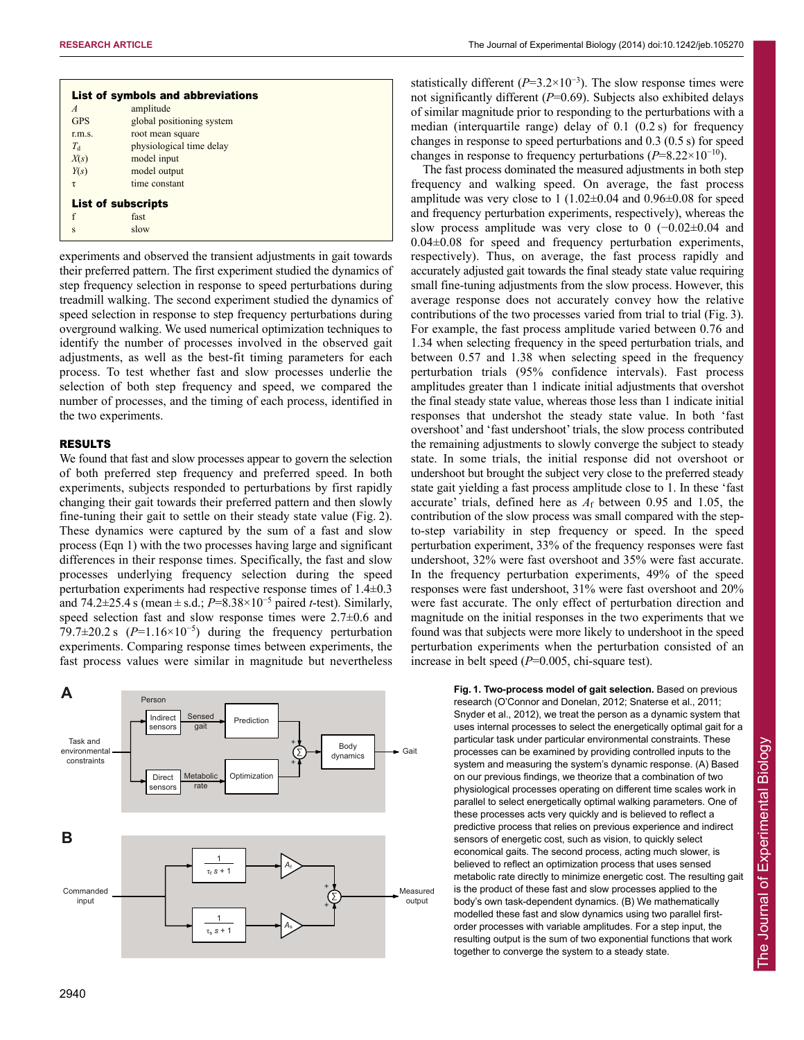| List of symbols and abbreviations |                           |
|-----------------------------------|---------------------------|
| $\overline{A}$                    | amplitude                 |
| <b>GPS</b>                        | global positioning system |
| r.m.s.                            | root mean square          |
| $T_{\rm d}$                       | physiological time delay  |
| X(s)                              | model input               |
| Y(s)                              | model output              |
| τ                                 | time constant             |
| <b>List of subscripts</b>         |                           |
| f                                 | fast                      |
| S                                 | slow                      |

experiments and observed the transient adjustments in gait towards their preferred pattern. The first experiment studied the dynamics of step frequency selection in response to speed perturbations during treadmill walking. The second experiment studied the dynamics of speed selection in response to step frequency perturbations during overground walking. We used numerical optimization techniques to identify the number of processes involved in the observed gait adjustments, as well as the best-fit timing parameters for each process. To test whether fast and slow processes underlie the selection of both step frequency and speed, we compared the number of processes, and the timing of each process, identified in the two experiments.

## RESULTS

We found that fast and slow processes appear to govern the selection of both preferred step frequency and preferred speed. In both experiments, subjects responded to perturbations by first rapidly changing their gait towards their preferred pattern and then slowly fine-tuning their gait to settle on their steady state value (Fig. 2). These dynamics were captured by the sum of a fast and slow process (Eqn 1) with the two processes having large and significant differences in their response times. Specifically, the fast and slow processes underlying frequency selection during the speed perturbation experiments had respective response times of 1.4±0.3 and 74.2±25.4 s (mean ± s.d.; *P*=8.38×10<sup>−</sup><sup>5</sup> paired *t*-test). Similarly, speed selection fast and slow response times were  $2.7\pm0.6$  and 79.7±20.2 s (*P*=1.16×10<sup>−</sup><sup>5</sup> ) during the frequency perturbation experiments. Comparing response times between experiments, the fast process values were similar in magnitude but nevertheless



statistically different  $(P=3.2\times10^{-3})$ . The slow response times were not significantly different (*P*=0.69). Subjects also exhibited delays of similar magnitude prior to responding to the perturbations with a median (interquartile range) delay of 0.1 (0.2 s) for frequency changes in response to speed perturbations and 0.3 (0.5 s) for speed changes in response to frequency perturbations  $(P=8.22\times10^{-10})$ .

The fast process dominated the measured adjustments in both step frequency and walking speed. On average, the fast process amplitude was very close to 1 (1.02±0.04 and 0.96±0.08 for speed and frequency perturbation experiments, respectively), whereas the slow process amplitude was very close to 0 (−0.02±0.04 and  $0.04\pm0.08$  for speed and frequency perturbation experiments, respectively). Thus, on average, the fast process rapidly and accurately adjusted gait towards the final steady state value requiring small fine-tuning adjustments from the slow process. However, this average response does not accurately convey how the relative contributions of the two processes varied from trial to trial (Fig. 3). For example, the fast process amplitude varied between 0.76 and 1.34 when selecting frequency in the speed perturbation trials, and between 0.57 and 1.38 when selecting speed in the frequency perturbation trials (95% confidence intervals). Fast process amplitudes greater than 1 indicate initial adjustments that overshot the final steady state value, whereas those less than 1 indicate initial responses that undershot the steady state value. In both 'fast overshoot' and 'fast undershoot' trials, the slow process contributed the remaining adjustments to slowly converge the subject to steady state. In some trials, the initial response did not overshoot or undershoot but brought the subject very close to the preferred steady state gait yielding a fast process amplitude close to 1. In these 'fast accurate' trials, defined here as  $A_f$  between 0.95 and 1.05, the contribution of the slow process was small compared with the stepto-step variability in step frequency or speed. In the speed perturbation experiment, 33% of the frequency responses were fast undershoot, 32% were fast overshoot and 35% were fast accurate. In the frequency perturbation experiments, 49% of the speed responses were fast undershoot, 31% were fast overshoot and 20% were fast accurate. The only effect of perturbation direction and magnitude on the initial responses in the two experiments that we found was that subjects were more likely to undershoot in the speed perturbation experiments when the perturbation consisted of an increase in belt speed (*P*=0.005, chi-square test).

> **Fig. 1. Two-process model of gait selection.** Based on previous research (O'Connor and Donelan, 2012; Snaterse et al., 2011; Snyder et al., 2012), we treat the person as a dynamic system that uses internal processes to select the energetically optimal gait for a particular task under particular environmental constraints. These processes can be examined by providing controlled inputs to the system and measuring the system's dynamic response. (A) Based on our previous findings, we theorize that a combination of two physiological processes operating on different time scales work in parallel to select energetically optimal walking parameters. One of these processes acts very quickly and is believed to reflect a predictive process that relies on previous experience and indirect sensors of energetic cost, such as vision, to quickly select economical gaits. The second process, acting much slower, is believed to reflect an optimization process that uses sensed metabolic rate directly to minimize energetic cost. The resulting gait is the product of these fast and slow processes applied to the body's own task-dependent dynamics. (B) We mathematically modelled these fast and slow dynamics using two parallel firstorder processes with variable amplitudes. For a step input, the resulting output is the sum of two exponential functions that work together to converge the system to a steady state.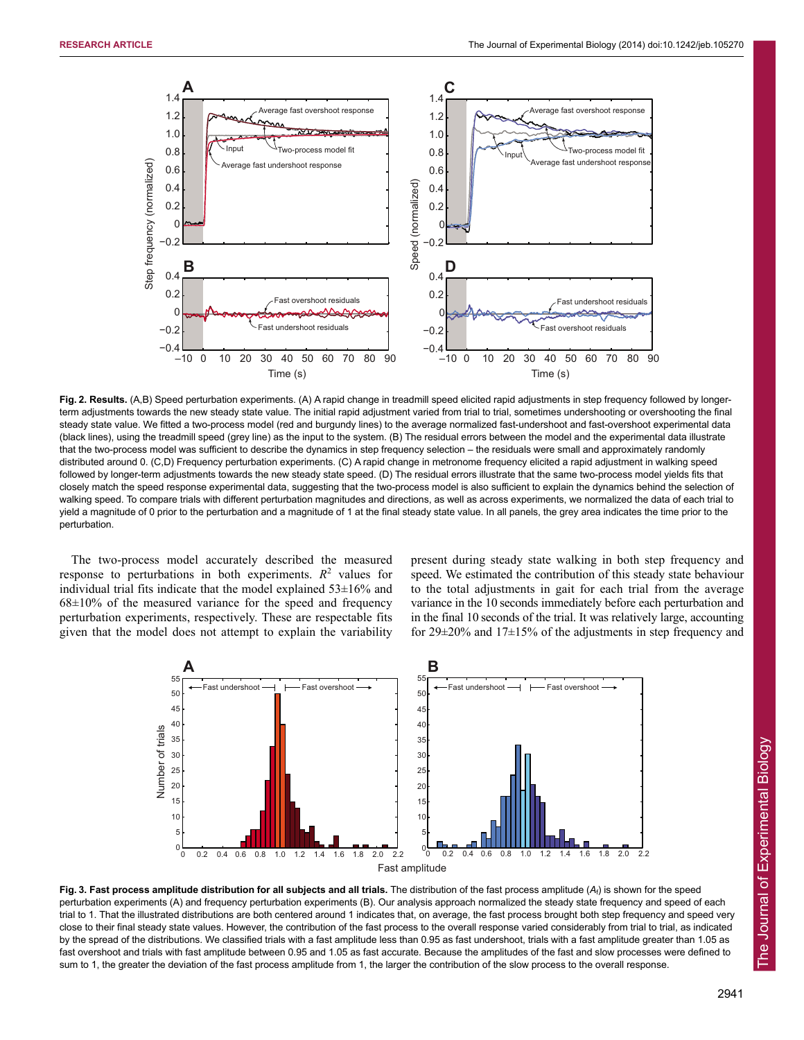

**Fig. 2. Results.** (A,B) Speed perturbation experiments. (A) A rapid change in treadmill speed elicited rapid adjustments in step frequency followed by longerterm adjustments towards the new steady state value. The initial rapid adjustment varied from trial to trial, sometimes undershooting or overshooting the final steady state value. We fitted a two-process model (red and burgundy lines) to the average normalized fast-undershoot and fast-overshoot experimental data (black lines), using the treadmill speed (grey line) as the input to the system. (B) The residual errors between the model and the experimental data illustrate that the two-process model was sufficient to describe the dynamics in step frequency selection – the residuals were small and approximately randomly distributed around 0. (C,D) Frequency perturbation experiments. (C) A rapid change in metronome frequency elicited a rapid adjustment in walking speed followed by longer-term adjustments towards the new steady state speed. (D) The residual errors illustrate that the same two-process model yields fits that closely match the speed response experimental data, suggesting that the two-process model is also sufficient to explain the dynamics behind the selection of walking speed. To compare trials with different perturbation magnitudes and directions, as well as across experiments, we normalized the data of each trial to yield a magnitude of 0 prior to the perturbation and a magnitude of 1 at the final steady state value. In all panels, the grey area indicates the time prior to the perturbation.

The two-process model accurately described the measured response to perturbations in both experiments.  $R^2$  values for individual trial fits indicate that the model explained  $53\pm16\%$  and  $68\pm10\%$  of the measured variance for the speed and frequency perturbation experiments, respectively. These are respectable fits given that the model does not attempt to explain the variability

present during steady state walking in both step frequency and speed. We estimated the contribution of this steady state behaviour to the total adjustments in gait for each trial from the average variance in the 10 seconds immediately before each perturbation and in the final 10 seconds of the trial. It was relatively large, accounting for 29±20% and 17±15% of the adjustments in step frequency and



**Fig. 3. Fast process amplitude distribution for all subjects and all trials.** The distribution of the fast process amplitude (*A*f) is shown for the speed perturbation experiments (A) and frequency perturbation experiments (B). Our analysis approach normalized the steady state frequency and speed of each trial to 1. That the illustrated distributions are both centered around 1 indicates that, on average, the fast process brought both step frequency and speed very close to their final steady state values. However, the contribution of the fast process to the overall response varied considerably from trial to trial, as indicated by the spread of the distributions. We classified trials with a fast amplitude less than 0.95 as fast undershoot, trials with a fast amplitude greater than 1.05 as fast overshoot and trials with fast amplitude between 0.95 and 1.05 as fast accurate*.* Because the amplitudes of the fast and slow processes were defined to sum to 1, the greater the deviation of the fast process amplitude from 1, the larger the contribution of the slow process to the overall response.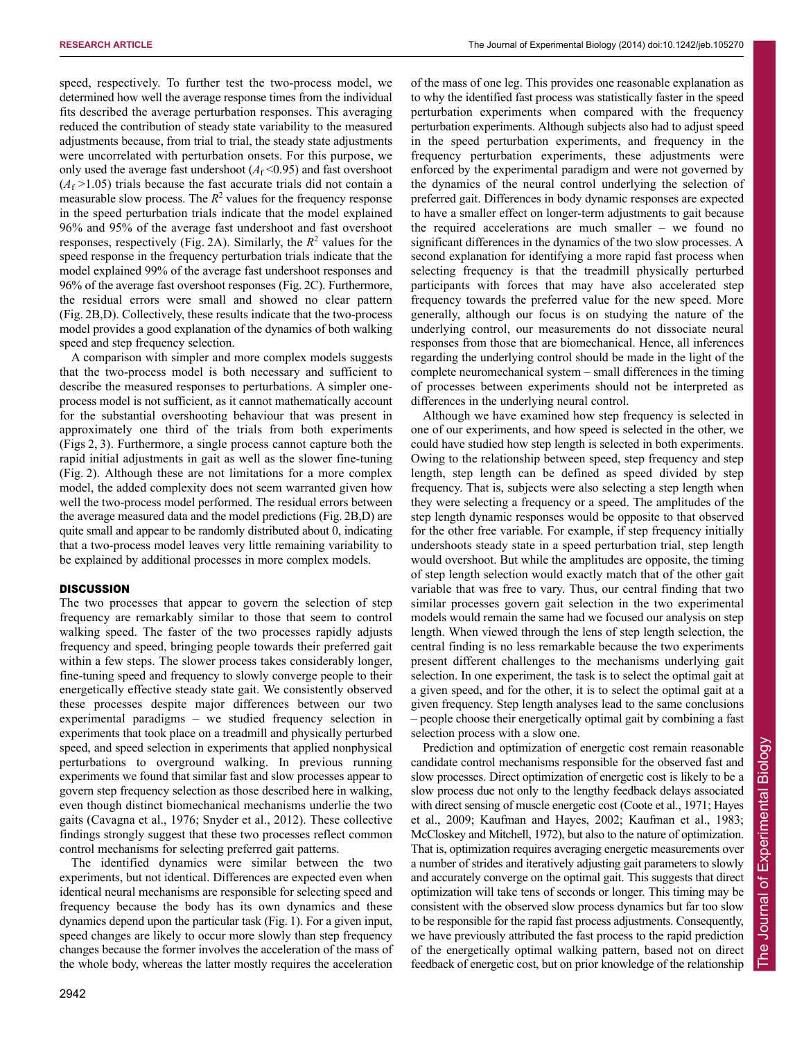speed, respectively. To further test the two-process model, we determined how well the average response times from the individual fits described the average perturbation responses. This averaging reduced the contribution of steady state variability to the measured adjustments because, from trial to trial, the steady state adjustments were uncorrelated with perturbation onsets. For this purpose, we only used the average fast undershoot  $(A_f \le 0.95)$  and fast overshoot  $(A<sub>f</sub> > 1.05)$  trials because the fast accurate trials did not contain a measurable slow process. The  $R^2$  values for the frequency response in the speed perturbation trials indicate that the model explained 96% and 95% of the average fast undershoot and fast overshoot responses, respectively (Fig. 2A). Similarly, the  $R^2$  values for the speed response in the frequency perturbation trials indicate that the model explained 99% of the average fast undershoot responses and 96% of the average fast overshoot responses (Fig. 2C). Furthermore, the residual errors were small and showed no clear pattern (Fig. 2B,D). Collectively, these results indicate that the two-process model provides a good explanation of the dynamics of both walking speed and step frequency selection.

A comparison with simpler and more complex models suggests that the two-process model is both necessary and sufficient to describe the measured responses to perturbations. A simpler oneprocess model is not sufficient, as it cannot mathematically account for the substantial overshooting behaviour that was present in approximately one third of the trials from both experiments (Figs 2, 3). Furthermore, a single process cannot capture both the rapid initial adjustments in gait as well as the slower fine-tuning (Fig. 2). Although these are not limitations for a more complex model, the added complexity does not seem warranted given how well the two-process model performed. The residual errors between the average measured data and the model predictions (Fig. 2B,D) are quite small and appear to be randomly distributed about 0, indicating that a two-process model leaves very little remaining variability to be explained by additional processes in more complex models.

## **DISCUSSION**

The two processes that appear to govern the selection of step frequency are remarkably similar to those that seem to control walking speed. The faster of the two processes rapidly adjusts frequency and speed, bringing people towards their preferred gait within a few steps. The slower process takes considerably longer, fine-tuning speed and frequency to slowly converge people to their energetically effective steady state gait. We consistently observed these processes despite major differences between our two experimental paradigms – we studied frequency selection in experiments that took place on a treadmill and physically perturbed speed, and speed selection in experiments that applied nonphysical perturbations to overground walking. In previous running experiments we found that similar fast and slow processes appear to govern step frequency selection as those described here in walking, even though distinct biomechanical mechanisms underlie the two gaits (Cavagna et al., 1976; Snyder et al., 2012). These collective findings strongly suggest that these two processes reflect common control mechanisms for selecting preferred gait patterns.

The identified dynamics were similar between the two experiments, but not identical. Differences are expected even when identical neural mechanisms are responsible for selecting speed and frequency because the body has its own dynamics and these dynamics depend upon the particular task (Fig. 1). For a given input, speed changes are likely to occur more slowly than step frequency changes because the former involves the acceleration of the mass of the whole body, whereas the latter mostly requires the acceleration

of the mass of one leg. This provides one reasonable explanation as to why the identified fast process was statistically faster in the speed perturbation experiments when compared with the frequency perturbation experiments. Although subjects also had to adjust speed in the speed perturbation experiments, and frequency in the frequency perturbation experiments, these adjustments were enforced by the experimental paradigm and were not governed by the dynamics of the neural control underlying the selection of preferred gait. Differences in body dynamic responses are expected to have a smaller effect on longer-term adjustments to gait because the required accelerations are much smaller – we found no significant differences in the dynamics of the two slow processes. A second explanation for identifying a more rapid fast process when selecting frequency is that the treadmill physically perturbed participants with forces that may have also accelerated step frequency towards the preferred value for the new speed. More generally, although our focus is on studying the nature of the underlying control, our measurements do not dissociate neural responses from those that are biomechanical. Hence, all inferences regarding the underlying control should be made in the light of the complete neuromechanical system – small differences in the timing of processes between experiments should not be interpreted as differences in the underlying neural control.

Although we have examined how step frequency is selected in one of our experiments, and how speed is selected in the other, we could have studied how step length is selected in both experiments. Owing to the relationship between speed, step frequency and step length, step length can be defined as speed divided by step frequency. That is, subjects were also selecting a step length when they were selecting a frequency or a speed. The amplitudes of the step length dynamic responses would be opposite to that observed for the other free variable. For example, if step frequency initially undershoots steady state in a speed perturbation trial, step length would overshoot. But while the amplitudes are opposite, the timing of step length selection would exactly match that of the other gait variable that was free to vary. Thus, our central finding that two similar processes govern gait selection in the two experimental models would remain the same had we focused our analysis on step length. When viewed through the lens of step length selection, the central finding is no less remarkable because the two experiments present different challenges to the mechanisms underlying gait selection. In one experiment, the task is to select the optimal gait at a given speed, and for the other, it is to select the optimal gait at a given frequency. Step length analyses lead to the same conclusions – people choose their energetically optimal gait by combining a fast selection process with a slow one.

Prediction and optimization of energetic cost remain reasonable candidate control mechanisms responsible for the observed fast and slow processes. Direct optimization of energetic cost is likely to be a slow process due not only to the lengthy feedback delays associated with direct sensing of muscle energetic cost (Coote et al., 1971; Hayes et al., 2009; Kaufman and Hayes, 2002; Kaufman et al., 1983; McCloskey and Mitchell, 1972), but also to the nature of optimization. That is, optimization requires averaging energetic measurements over a number of strides and iteratively adjusting gait parameters to slowly and accurately converge on the optimal gait. This suggests that direct optimization will take tens of seconds or longer. This timing may be consistent with the observed slow process dynamics but far too slow to be responsible for the rapid fast process adjustments. Consequently, we have previously attributed the fast process to the rapid prediction of the energetically optimal walking pattern, based not on direct feedback of energetic cost, but on prior knowledge of the relationship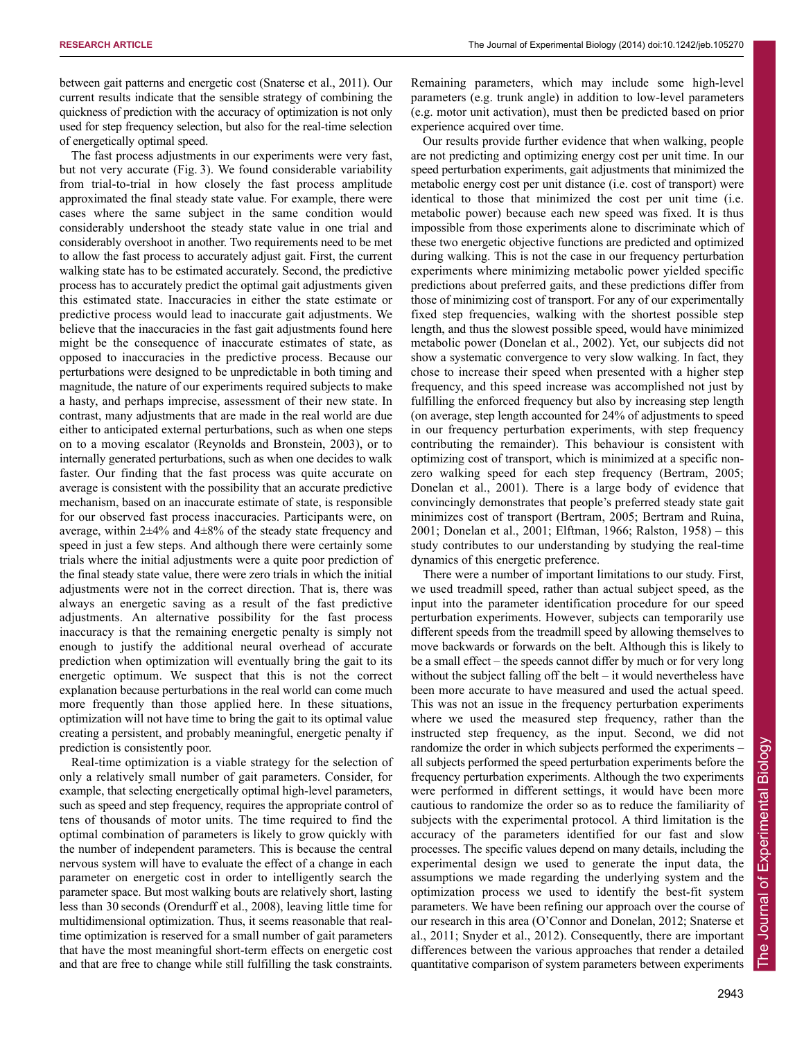between gait patterns and energetic cost (Snaterse et al., 2011). Our current results indicate that the sensible strategy of combining the quickness of prediction with the accuracy of optimization is not only used for step frequency selection, but also for the real-time selection of energetically optimal speed.

The fast process adjustments in our experiments were very fast, but not very accurate (Fig. 3). We found considerable variability from trial-to-trial in how closely the fast process amplitude approximated the final steady state value. For example, there were cases where the same subject in the same condition would considerably undershoot the steady state value in one trial and considerably overshoot in another. Two requirements need to be met to allow the fast process to accurately adjust gait. First, the current walking state has to be estimated accurately. Second, the predictive process has to accurately predict the optimal gait adjustments given this estimated state. Inaccuracies in either the state estimate or predictive process would lead to inaccurate gait adjustments. We believe that the inaccuracies in the fast gait adjustments found here might be the consequence of inaccurate estimates of state, as opposed to inaccuracies in the predictive process. Because our perturbations were designed to be unpredictable in both timing and magnitude, the nature of our experiments required subjects to make a hasty, and perhaps imprecise, assessment of their new state. In contrast, many adjustments that are made in the real world are due either to anticipated external perturbations, such as when one steps on to a moving escalator (Reynolds and Bronstein, 2003), or to internally generated perturbations, such as when one decides to walk faster. Our finding that the fast process was quite accurate on average is consistent with the possibility that an accurate predictive mechanism, based on an inaccurate estimate of state, is responsible for our observed fast process inaccuracies. Participants were, on average, within 2±4% and 4±8% of the steady state frequency and speed in just a few steps. And although there were certainly some trials where the initial adjustments were a quite poor prediction of the final steady state value, there were zero trials in which the initial adjustments were not in the correct direction. That is, there was always an energetic saving as a result of the fast predictive adjustments. An alternative possibility for the fast process inaccuracy is that the remaining energetic penalty is simply not enough to justify the additional neural overhead of accurate prediction when optimization will eventually bring the gait to its energetic optimum. We suspect that this is not the correct explanation because perturbations in the real world can come much more frequently than those applied here. In these situations, optimization will not have time to bring the gait to its optimal value creating a persistent, and probably meaningful, energetic penalty if prediction is consistently poor.

Real-time optimization is a viable strategy for the selection of only a relatively small number of gait parameters. Consider, for example, that selecting energetically optimal high-level parameters, such as speed and step frequency, requires the appropriate control of tens of thousands of motor units. The time required to find the optimal combination of parameters is likely to grow quickly with the number of independent parameters. This is because the central nervous system will have to evaluate the effect of a change in each parameter on energetic cost in order to intelligently search the parameter space. But most walking bouts are relatively short, lasting less than 30 seconds (Orendurff et al., 2008), leaving little time for multidimensional optimization. Thus, it seems reasonable that realtime optimization is reserved for a small number of gait parameters that have the most meaningful short-term effects on energetic cost and that are free to change while still fulfilling the task constraints.

Remaining parameters, which may include some high-level parameters (e.g. trunk angle) in addition to low-level parameters (e.g. motor unit activation), must then be predicted based on prior experience acquired over time.

Our results provide further evidence that when walking, people are not predicting and optimizing energy cost per unit time. In our speed perturbation experiments, gait adjustments that minimized the metabolic energy cost per unit distance (i.e. cost of transport) were identical to those that minimized the cost per unit time (i.e. metabolic power) because each new speed was fixed. It is thus impossible from those experiments alone to discriminate which of these two energetic objective functions are predicted and optimized during walking. This is not the case in our frequency perturbation experiments where minimizing metabolic power yielded specific predictions about preferred gaits, and these predictions differ from those of minimizing cost of transport. For any of our experimentally fixed step frequencies, walking with the shortest possible step length, and thus the slowest possible speed, would have minimized metabolic power (Donelan et al., 2002). Yet, our subjects did not show a systematic convergence to very slow walking. In fact, they chose to increase their speed when presented with a higher step frequency, and this speed increase was accomplished not just by fulfilling the enforced frequency but also by increasing step length (on average, step length accounted for 24% of adjustments to speed in our frequency perturbation experiments, with step frequency contributing the remainder). This behaviour is consistent with optimizing cost of transport, which is minimized at a specific nonzero walking speed for each step frequency (Bertram, 2005; Donelan et al., 2001). There is a large body of evidence that convincingly demonstrates that people's preferred steady state gait minimizes cost of transport (Bertram, 2005; Bertram and Ruina, 2001; Donelan et al., 2001; Elftman, 1966; Ralston, 1958) – this study contributes to our understanding by studying the real-time dynamics of this energetic preference.

There were a number of important limitations to our study. First, we used treadmill speed, rather than actual subject speed, as the input into the parameter identification procedure for our speed perturbation experiments. However, subjects can temporarily use different speeds from the treadmill speed by allowing themselves to move backwards or forwards on the belt. Although this is likely to be a small effect – the speeds cannot differ by much or for very long without the subject falling off the belt – it would nevertheless have been more accurate to have measured and used the actual speed. This was not an issue in the frequency perturbation experiments where we used the measured step frequency, rather than the instructed step frequency, as the input. Second, we did not randomize the order in which subjects performed the experiments – all subjects performed the speed perturbation experiments before the frequency perturbation experiments. Although the two experiments were performed in different settings, it would have been more cautious to randomize the order so as to reduce the familiarity of subjects with the experimental protocol. A third limitation is the accuracy of the parameters identified for our fast and slow processes. The specific values depend on many details, including the experimental design we used to generate the input data, the assumptions we made regarding the underlying system and the optimization process we used to identify the best-fit system parameters. We have been refining our approach over the course of our research in this area (O'Connor and Donelan, 2012; Snaterse et al., 2011; Snyder et al., 2012). Consequently, there are important differences between the various approaches that render a detailed quantitative comparison of system parameters between experiments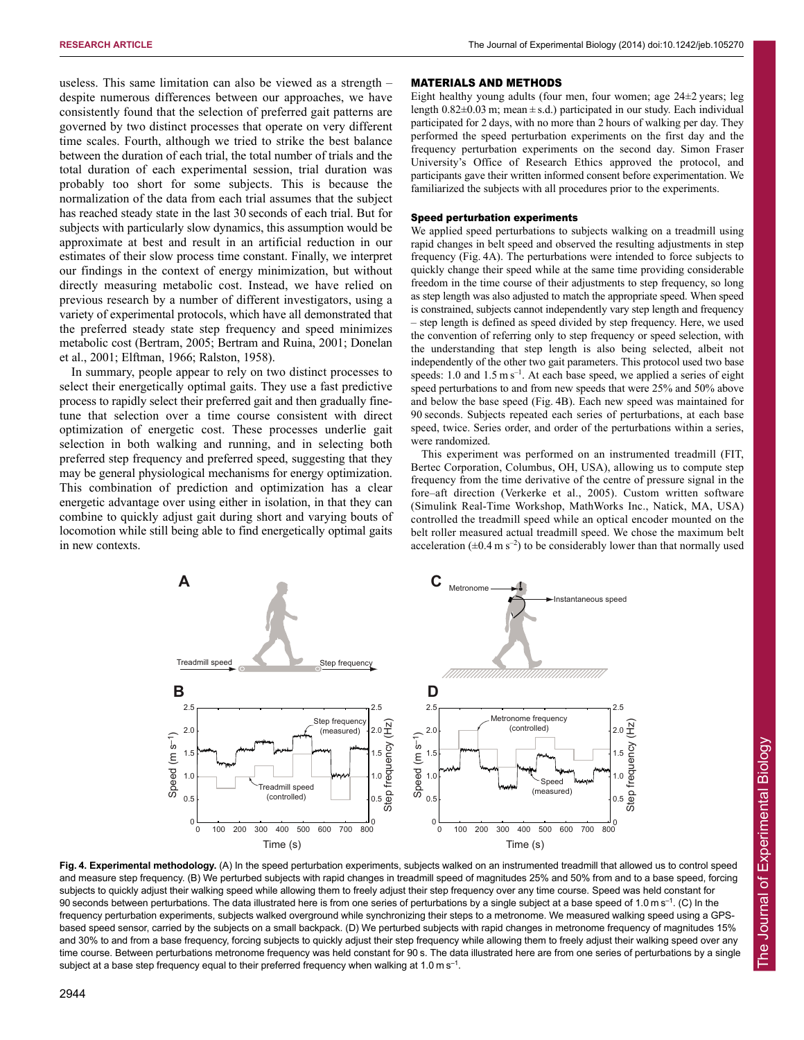useless. This same limitation can also be viewed as a strength – despite numerous differences between our approaches, we have consistently found that the selection of preferred gait patterns are governed by two distinct processes that operate on very different time scales. Fourth, although we tried to strike the best balance between the duration of each trial, the total number of trials and the total duration of each experimental session, trial duration was probably too short for some subjects. This is because the normalization of the data from each trial assumes that the subject has reached steady state in the last 30 seconds of each trial. But for subjects with particularly slow dynamics, this assumption would be approximate at best and result in an artificial reduction in our estimates of their slow process time constant. Finally, we interpret our findings in the context of energy minimization, but without directly measuring metabolic cost. Instead, we have relied on previous research by a number of different investigators, using a variety of experimental protocols, which have all demonstrated that the preferred steady state step frequency and speed minimizes metabolic cost (Bertram, 2005; Bertram and Ruina, 2001; Donelan et al., 2001; Elftman, 1966; Ralston, 1958).

In summary, people appear to rely on two distinct processes to select their energetically optimal gaits. They use a fast predictive process to rapidly select their preferred gait and then gradually finetune that selection over a time course consistent with direct optimization of energetic cost. These processes underlie gait selection in both walking and running, and in selecting both preferred step frequency and preferred speed, suggesting that they may be general physiological mechanisms for energy optimization. This combination of prediction and optimization has a clear energetic advantage over using either in isolation, in that they can combine to quickly adjust gait during short and varying bouts of locomotion while still being able to find energetically optimal gaits in new contexts.

#### MATERIALS AND METHODS

Eight healthy young adults (four men, four women; age  $24\pm2$  years; leg length  $0.82\pm0.03$  m; mean  $\pm$  s.d.) participated in our study. Each individual participated for 2 days, with no more than 2 hours of walking per day. They performed the speed perturbation experiments on the first day and the frequency perturbation experiments on the second day. Simon Fraser University's Office of Research Ethics approved the protocol, and participants gave their written informed consent before experimentation. We familiarized the subjects with all procedures prior to the experiments.

## Speed perturbation experiments

We applied speed perturbations to subjects walking on a treadmill using rapid changes in belt speed and observed the resulting adjustments in step frequency (Fig. 4A). The perturbations were intended to force subjects to quickly change their speed while at the same time providing considerable freedom in the time course of their adjustments to step frequency, so long as step length was also adjusted to match the appropriate speed. When speed is constrained, subjects cannot independently vary step length and frequency – step length is defined as speed divided by step frequency. Here, we used the convention of referring only to step frequency or speed selection, with the understanding that step length is also being selected, albeit not independently of the other two gait parameters. This protocol used two base speeds: 1.0 and 1.5 m s<sup>-1</sup>. At each base speed, we applied a series of eight speed perturbations to and from new speeds that were 25% and 50% above and below the base speed (Fig. 4B). Each new speed was maintained for 90 seconds. Subjects repeated each series of perturbations, at each base speed, twice. Series order, and order of the perturbations within a series, were randomized.

This experiment was performed on an instrumented treadmill (FIT, Bertec Corporation, Columbus, OH, USA), allowing us to compute step frequency from the time derivative of the centre of pressure signal in the fore–aft direction (Verkerke et al., 2005). Custom written software (Simulink Real-Time Workshop, MathWorks Inc., Natick, MA, USA) controlled the treadmill speed while an optical encoder mounted on the belt roller measured actual treadmill speed. We chose the maximum belt acceleration ( $\pm$ 0.4 m s<sup>-2</sup>) to be considerably lower than that normally used



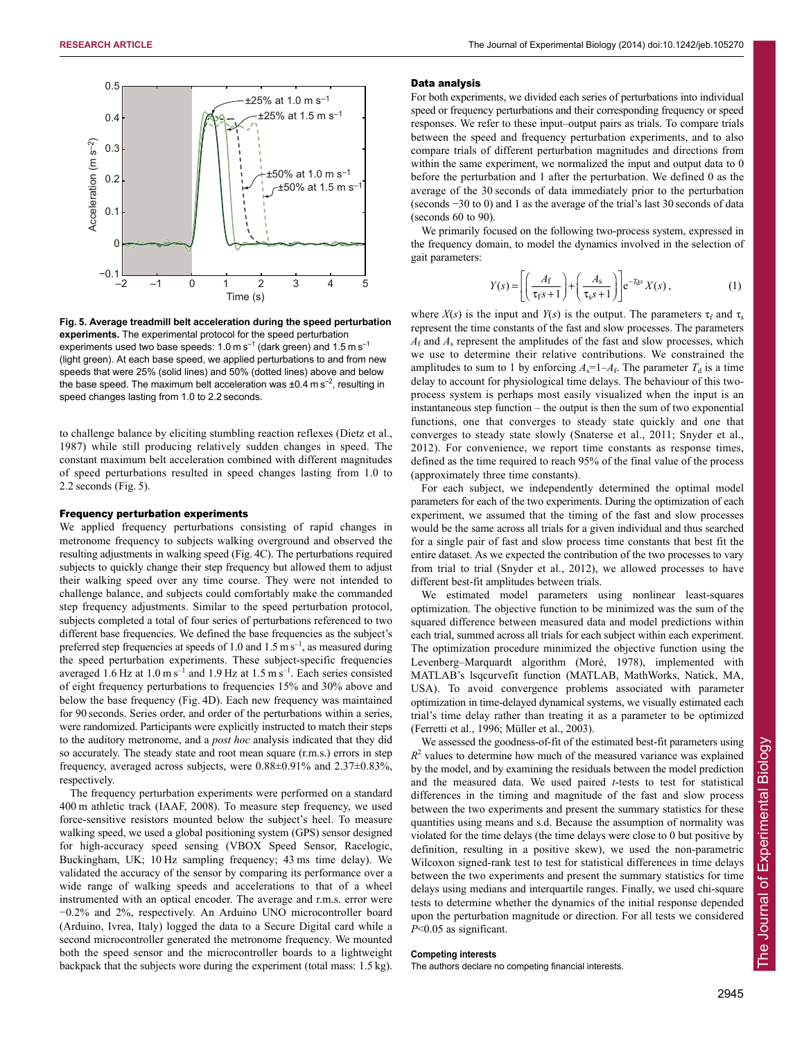

**Fig. 5. Average treadmill belt acceleration during the speed perturbation experiments.** The experimental protocol for the speed perturbation experiments used two base speeds:  $1.0 \text{ m s}^{-1}$  (dark green) and  $1.5 \text{ m s}^{-1}$ (light green). At each base speed, we applied perturbations to and from new speeds that were 25% (solid lines) and 50% (dotted lines) above and below the base speed. The maximum belt acceleration was  $\pm 0.4$  m s<sup>-2</sup>, resulting in speed changes lasting from 1.0 to 2.2 seconds.

to challenge balance by eliciting stumbling reaction reflexes (Dietz et al., 1987) while still producing relatively sudden changes in speed. The constant maximum belt acceleration combined with different magnitudes of speed perturbations resulted in speed changes lasting from 1.0 to 2.2 seconds (Fig. 5).

#### Frequency perturbation experiments

We applied frequency perturbations consisting of rapid changes in metronome frequency to subjects walking overground and observed the resulting adjustments in walking speed (Fig. 4C). The perturbations required subjects to quickly change their step frequency but allowed them to adjust their walking speed over any time course. They were not intended to challenge balance, and subjects could comfortably make the commanded step frequency adjustments. Similar to the speed perturbation protocol, subjects completed a total of four series of perturbations referenced to two different base frequencies. We defined the base frequencies as the subject's preferred step frequencies at speeds of 1.0 and 1.5 m  $s^{-1}$ , as measured during the speed perturbation experiments. These subject-specific frequencies averaged 1.6 Hz at  $1.0 \text{ m s}^{-1}$  and  $1.9 \text{ Hz}$  at  $1.5 \text{ m s}^{-1}$ . Each series consisted of eight frequency perturbations to frequencies 15% and 30% above and below the base frequency (Fig. 4D). Each new frequency was maintained for 90 seconds. Series order, and order of the perturbations within a series, were randomized. Participants were explicitly instructed to match their steps to the auditory metronome, and a *post hoc* analysis indicated that they did so accurately. The steady state and root mean square (r.m.s.) errors in step frequency, averaged across subjects, were 0.88±0.91% and 2.37±0.83%, respectively.

The frequency perturbation experiments were performed on a standard 400 m athletic track (IAAF, 2008). To measure step frequency, we used force-sensitive resistors mounted below the subject's heel. To measure walking speed, we used a global positioning system (GPS) sensor designed for high-accuracy speed sensing (VBOX Speed Sensor, Racelogic, Buckingham, UK; 10 Hz sampling frequency; 43 ms time delay). We validated the accuracy of the sensor by comparing its performance over a wide range of walking speeds and accelerations to that of a wheel instrumented with an optical encoder. The average and r.m.s. error were −0.2% and 2%, respectively. An Arduino UNO microcontroller board (Arduino, Ivrea, Italy) logged the data to a Secure Digital card while a second microcontroller generated the metronome frequency. We mounted both the speed sensor and the microcontroller boards to a lightweight backpack that the subjects wore during the experiment (total mass: 1.5 kg).

#### Data analysis

For both experiments, we divided each series of perturbations into individual speed or frequency perturbations and their corresponding frequency or speed responses. We refer to these input–output pairs as trials. To compare trials between the speed and frequency perturbation experiments, and to also compare trials of different perturbation magnitudes and directions from within the same experiment, we normalized the input and output data to 0 before the perturbation and 1 after the perturbation. We defined 0 as the average of the 30 seconds of data immediately prior to the perturbation (seconds −30 to 0) and 1 as the average of the trial's last 30 seconds of data (seconds 60 to 90).

We primarily focused on the following two-process system, expressed in the frequency domain, to model the dynamics involved in the selection of gait parameters:

$$
Y(s) = \left[ \left( \frac{A_{\rm f}}{\tau_{\rm f} s + 1} \right) + \left( \frac{A_{\rm s}}{\tau_{\rm s} s + 1} \right) \right] e^{-T_{\rm d}s} X(s) , \tag{1}
$$

where  $X(s)$  is the input and  $Y(s)$  is the output. The parameters  $\tau_f$  and  $\tau_s$ represent the time constants of the fast and slow processes. The parameters  $A_f$  and  $A_s$  represent the amplitudes of the fast and slow processes, which we use to determine their relative contributions. We constrained the amplitudes to sum to 1 by enforcing  $A_s = 1 - A_f$ . The parameter  $T_d$  is a time delay to account for physiological time delays. The behaviour of this twoprocess system is perhaps most easily visualized when the input is an instantaneous step function – the output is then the sum of two exponential functions, one that converges to steady state quickly and one that converges to steady state slowly (Snaterse et al., 2011; Snyder et al., 2012). For convenience, we report time constants as response times, defined as the time required to reach 95% of the final value of the process (approximately three time constants).

For each subject, we independently determined the optimal model parameters for each of the two experiments. During the optimization of each experiment, we assumed that the timing of the fast and slow processes would be the same across all trials for a given individual and thus searched for a single pair of fast and slow process time constants that best fit the entire dataset. As we expected the contribution of the two processes to vary from trial to trial (Snyder et al., 2012), we allowed processes to have different best-fit amplitudes between trials.

We estimated model parameters using nonlinear least-squares optimization. The objective function to be minimized was the sum of the squared difference between measured data and model predictions within each trial, summed across all trials for each subject within each experiment. The optimization procedure minimized the objective function using the Levenberg–Marquardt algorithm (Moré, 1978), implemented with MATLAB's lsqcurvefit function (MATLAB, MathWorks, Natick, MA, USA). To avoid convergence problems associated with parameter optimization in time-delayed dynamical systems, we visually estimated each trial's time delay rather than treating it as a parameter to be optimized (Ferretti et al., 1996; Müller et al., 2003).

We assessed the goodness-of-fit of the estimated best-fit parameters using  $R<sup>2</sup>$  values to determine how much of the measured variance was explained by the model, and by examining the residuals between the model prediction and the measured data. We used paired *t*-tests to test for statistical differences in the timing and magnitude of the fast and slow process between the two experiments and present the summary statistics for these quantities using means and s.d. Because the assumption of normality was violated for the time delays (the time delays were close to 0 but positive by definition, resulting in a positive skew), we used the non-parametric Wilcoxon signed-rank test to test for statistical differences in time delays between the two experiments and present the summary statistics for time delays using medians and interquartile ranges. Finally, we used chi-square tests to determine whether the dynamics of the initial response depended upon the perturbation magnitude or direction. For all tests we considered *P*<0.05 as significant.

## **Competing interests**

The authors declare no competing financial interests.